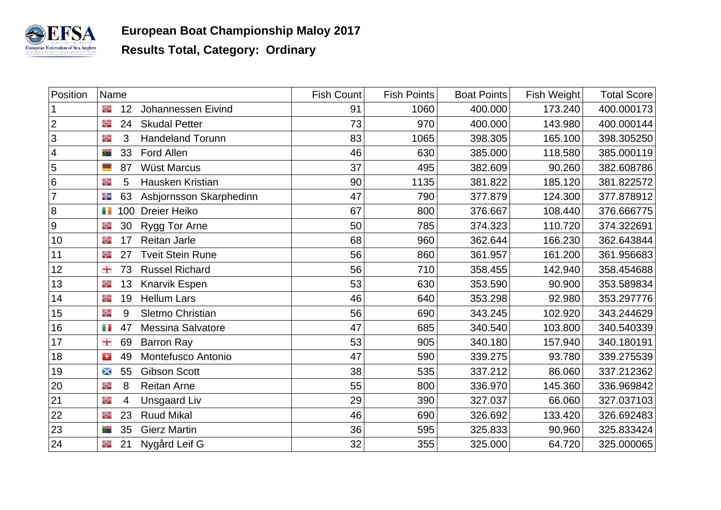

| Position                 | Name                                       | Fish Count | <b>Fish Points</b> | <b>Boat Points</b> | Fish Weight | <b>Total Score</b> |
|--------------------------|--------------------------------------------|------------|--------------------|--------------------|-------------|--------------------|
|                          | ╬<br>12<br>Johannessen Eivind              | 91         | 1060               | 400.000            | 173.240     | 400.000173         |
| $\overline{2}$           | <b>Skudal Petter</b><br>24<br>╬            | 73         | 970                | 400.000            | 143.980     | 400.000144         |
| 3                        | <b>Handeland Torunn</b><br>3<br>╬          | 83         | 1065               | 398.305            | 165.100     | 398.305250         |
| $\overline{\mathcal{A}}$ | Ford Allen<br>33<br>≋                      | 46         | 630                | 385.000            | 118.580     | 385.000119         |
| $\overline{5}$           | <b>Wüst Marcus</b><br>87                   | 37         | 495                | 382.609            | 90.260      | 382.608786         |
| $\,6$                    | Hausken Kristian<br>╬<br>5                 | 90         | 1135               | 381.822            | 185.120     | 381.822572         |
| $\overline{7}$           | Asbjornsson Skarphedinn<br>卡<br>63         | 47         | 790                | 377.879            | 124.300     | 377.878912         |
| 8                        | <b>Dreier Heiko</b><br>Ŧ<br>100            | 67         | 800                | 376.667            | 108.440     | 376.666775         |
| $\boldsymbol{9}$         | 30<br>Rygg Tor Arne<br>╬                   | 50         | 785                | 374.323            | 110.720     | 374.322691         |
| 10                       | Reitan Jarle<br>17<br>╬                    | 68         | 960                | 362.644            | 166.230     | 362.643844         |
| 11                       | <b>Tveit Stein Rune</b><br>27<br>╬         | 56         | 860                | 361.957            | 161.200     | 361.956683         |
| 12                       | <b>Russel Richard</b><br>击<br>73           | 56         | 710                | 358.455            | 142.940     | 358.454688         |
| 13                       | Knarvik Espen<br>13<br>╬                   | 53         | 630                | 353.590            | 90.900      | 353.589834         |
| 14                       | <b>Hellum Lars</b><br>╬<br>19              | 46         | 640                | 353.298            | 92.980      | 353.297776         |
| 15                       | Sletmo Christian<br>╬<br>9                 | 56         | 690                | 343.245            | 102.920     | 343.244629         |
| 16                       | <b>Messina Salvatore</b><br>47<br>Ŧ        | 47         | 685                | 340.540            | 103.800     | 340.540339         |
| 17                       | 士<br>69<br><b>Barron Ray</b>               | 53         | 905                | 340.180            | 157.940     | 340.180191         |
| 18                       | Montefusco Antonio<br>49<br><b>A</b>       | 47         | 590                | 339.275            | 93.780      | 339.275539         |
| 19                       | 55<br><b>Gibson Scott</b><br>X             | 38         | 535                | 337.212            | 86.060      | 337.212362         |
| 20                       | <b>Reitan Arne</b><br>╬<br>8               | 55         | 800                | 336.970            | 145.360     | 336.969842         |
| 21                       | <b>Unsgaard Liv</b><br>╬<br>$\overline{4}$ | 29         | 390                | 327.037            | 66.060      | 327.037103         |
| 22                       | <b>Ruud Mikal</b><br>23<br>╬               | 46         | 690                | 326.692            | 133.420     | 326.692483         |
| 23                       | <b>Gierz Martin</b><br>35<br>≋             | 36         | 595                | 325.833            | 90.960      | 325.833424         |
| 24                       | 21<br>Nygård Leif G<br>₩                   | 32         | 355                | 325.000            | 64.720      | 325.000065         |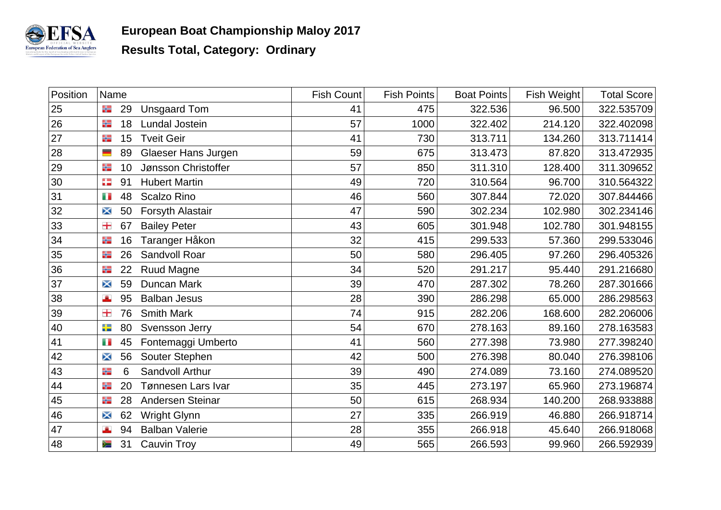

| Position | Name     |                       | Fish Count | <b>Fish Points</b> | <b>Boat Points</b> | Fish Weight | <b>Total Score</b> |
|----------|----------|-----------------------|------------|--------------------|--------------------|-------------|--------------------|
| 25       | 29<br>₩  | <b>Unsgaard Tom</b>   | 41         | 475                | 322.536            | 96.500      | 322.535709         |
| 26       | 18<br>噐  | <b>Lundal Jostein</b> | 57         | 1000               | 322.402            | 214.120     | 322.402098         |
| $27\,$   | ₩<br>15  | <b>Tveit Geir</b>     | 41         | 730                | 313.711            | 134.260     | 313.711414         |
| 28       | 89<br>▀  | Glaeser Hans Jurgen   | 59         | 675                | 313.473            | 87.820      | 313.472935         |
| 29       | ₩<br>10  | Jønsson Christoffer   | 57         | 850                | 311.310            | 128.400     | 311.309652         |
| 30       | æ<br>91  | <b>Hubert Martin</b>  | 49         | 720                | 310.564            | 96.700      | 310.564322         |
| 31       | 48<br>Ŧ  | <b>Scalzo Rino</b>    | 46         | 560                | 307.844            | 72.020      | 307.844466         |
| 32       | 50<br>×  | Forsyth Alastair      | 47         | 590                | 302.234            | 102.980     | 302.234146         |
| 33       | 士<br>67  | <b>Bailey Peter</b>   | 43         | 605                | 301.948            | 102.780     | 301.948155         |
| 34       | 16<br>₩  | Taranger Håkon        | 32         | 415                | 299.533            | 57.360      | 299.533046         |
| 35       | 26<br>₩  | Sandvoll Roar         | 50         | 580                | 296.405            | 97.260      | 296.405326         |
| 36       | 22<br>₩  | <b>Ruud Magne</b>     | 34         | 520                | 291.217            | 95.440      | 291.216680         |
| 37       | 59<br>×  | Duncan Mark           | 39         | 470                | 287.302            | 78.260      | 287.301666         |
| 38       | 95<br>A  | <b>Balban Jesus</b>   | 28         | 390                | 286.298            | 65.000      | 286.298563         |
| 39       | 76<br>击  | <b>Smith Mark</b>     | 74         | 915                | 282.206            | 168.600     | 282.206006         |
| 40       | ÷<br>80  | Svensson Jerry        | 54         | 670                | 278.163            | 89.160      | 278.163583         |
| 41       | Ŧ<br>45  | Fontemaggi Umberto    | 41         | 560                | 277.398            | 73.980      | 277.398240         |
| 42       | 56<br>×  | Souter Stephen        | 42         | 500                | 276.398            | 80.040      | 276.398106         |
| 43       | 噐<br>6   | Sandvoll Arthur       | 39         | 490                | 274.089            | 73.160      | 274.089520         |
| 44       | 噐<br>20  | Tønnesen Lars Ivar    | 35         | 445                | 273.197            | 65.960      | 273.196874         |
| 45       | ₩<br>28  | Andersen Steinar      | 50         | 615                | 268.934            | 140.200     | 268.933888         |
| 46       | 62<br>×  | Wright Glynn          | 27         | 335                | 266.919            | 46.880      | 266.918714         |
| 47       | 94<br>A  | <b>Balban Valerie</b> | 28         | 355                | 266.918            | 45.640      | 266.918068         |
| 48       | 31<br>∕≡ | <b>Cauvin Troy</b>    | 49         | 565                | 266.593            | 99.960      | 266.592939         |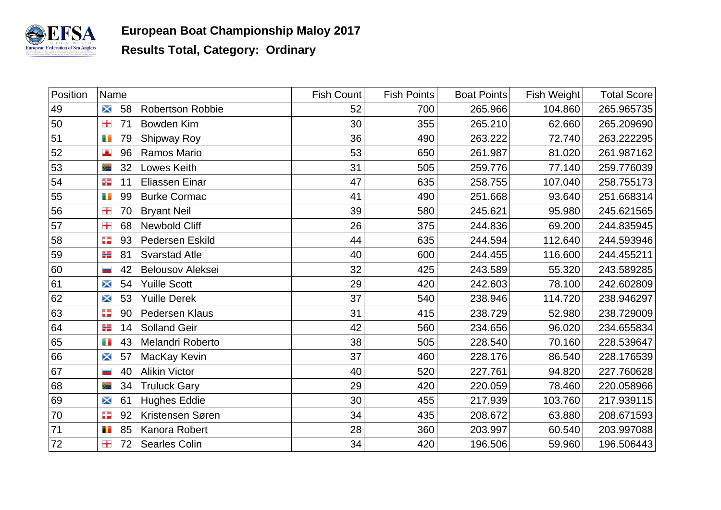

| Position | Name                    |                         | Fish Count | <b>Fish Points</b> | <b>Boat Points</b> | Fish Weight | <b>Total Score</b> |
|----------|-------------------------|-------------------------|------------|--------------------|--------------------|-------------|--------------------|
| 49       | 58<br>$\times$          | <b>Robertson Robbie</b> | 52         | 700                | 265.966            | 104.860     | 265.965735         |
| 50       | 击<br>71                 | Bowden Kim              | 30         | 355                | 265.210            | 62.660      | 265.209690         |
| 51       | Ŧ<br>79                 | Shipway Roy             | 36         | 490                | 263.222            | 72.740      | 263.222295         |
| 52       | A<br>96                 | Ramos Mario             | 53         | 650                | 261.987            | 81.020      | 261.987162         |
| 53       | 32<br>≋                 | Lowes Keith             | 31         | 505                | 259.776            | 77.140      | 259.776039         |
| 54       | ╬<br>11                 | <b>Eliassen Einar</b>   | 47         | 635                | 258.755            | 107.040     | 258.755173         |
| 55       | 99<br>Ŧ                 | <b>Burke Cormac</b>     | 41         | 490                | 251.668            | 93.640      | 251.668314         |
| 56       | 击<br>70                 | <b>Bryant Neil</b>      | 39         | 580                | 245.621            | 95.980      | 245.621565         |
| 57       | 击<br>68                 | <b>Newbold Cliff</b>    | 26         | 375                | 244.836            | 69.200      | 244.835945         |
| 58       | 93<br>93                | Pedersen Eskild         | 44         | 635                | 244.594            | 112.640     | 244.593946         |
| 59       | 81<br>╬                 | <b>Svarstad Atle</b>    | 40         | 600                | 244.455            | 116.600     | 244.455211         |
| 60       | 42<br>÷                 | <b>Belousov Aleksei</b> | 32         | 425                | 243.589            | 55.320      | 243.589285         |
| 61       | 54<br>X                 | <b>Yuille Scott</b>     | 29         | 420                | 242.603            | 78.100      | 242.602809         |
| 62       | 53<br>X                 | <b>Yuille Derek</b>     | 37         | 540                | 238.946            | 114.720     | 238.946297         |
| 63       | 92<br>90                | <b>Pedersen Klaus</b>   | 31         | 415                | 238.729            | 52.980      | 238.729009         |
| 64       | 14<br>╬                 | <b>Solland Geir</b>     | 42         | 560                | 234.656            | 96.020      | 234.655834         |
| 65       | Ŧ<br>43                 | Melandri Roberto        | 38         | 505                | 228.540            | 70.160      | 228.539647         |
| 66       | 57<br>X                 | MacKay Kevin            | 37         | 460                | 228.176            | 86.540      | 228.176539         |
| 67       | 40<br><b>CONTRACTOR</b> | <b>Alikin Victor</b>    | 40         | 520                | 227.761            | 94.820      | 227.760628         |
| 68       | 34<br>≋                 | <b>Truluck Gary</b>     | 29         | 420                | 220.059            | 78.460      | 220.058966         |
| 69       | 61<br>X                 | <b>Hughes Eddie</b>     | 30         | 455                | 217.939            | 103.760     | 217.939115         |
| 70       | ÷<br>92                 | Kristensen Søren        | 34         | 435                | 208.672            | 63.880      | 208.671593         |
| 71       | 85<br>Ŧ                 | Kanora Robert           | 28         | 360                | 203.997            | 60.540      | 203.997088         |
| 72       | 士<br>72                 | <b>Searles Colin</b>    | 34         | 420                | 196.506            | 59.960      | 196.506443         |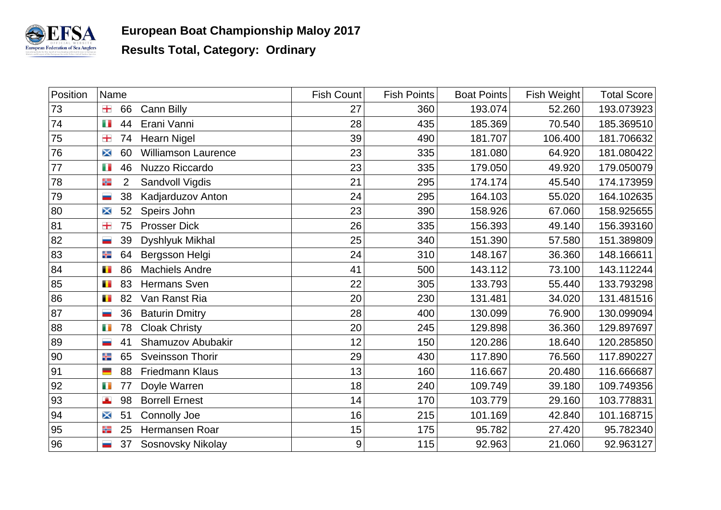

| Position | Name                |                            | <b>Fish Count</b> | <b>Fish Points</b> | <b>Boat Points</b> | Fish Weight | <b>Total Score</b> |
|----------|---------------------|----------------------------|-------------------|--------------------|--------------------|-------------|--------------------|
| 73       | 士<br>66             | Cann Billy                 | 27                | 360                | 193.074            | 52.260      | 193.073923         |
| 74       | n n<br>44           | Erani Vanni                | 28                | 435                | 185.369            | 70.540      | 185.369510         |
| 75       | 士<br>74             | <b>Hearn Nigel</b>         | 39                | 490                | 181.707            | 106.400     | 181.706632         |
| 76       | 60<br>X             | <b>Williamson Laurence</b> | 23                | 335                | 181.080            | 64.920      | 181.080422         |
| 77       | 46<br>Ŧ             | Nuzzo Riccardo             | 23                | 335                | 179.050            | 49.920      | 179.050079         |
| 78       | $\overline{2}$<br>卡 | Sandvoll Vigdis            | 21                | 295                | 174.174            | 45.540      | 174.173959         |
| 79       | 38<br>ــ            | Kadjarduzov Anton          | 24                | 295                | 164.103            | 55.020      | 164.102635         |
| 80       | 52<br>X             | Speirs John                | 23                | 390                | 158.926            | 67.060      | 158.925655         |
| 81       | 士<br>75             | <b>Prosser Dick</b>        | 26                | 335                | 156.393            | 49.140      | 156.393160         |
| 82       | 39<br>-             | Dyshlyuk Mikhal            | 25                | 340                | 151.390            | 57.580      | 151.389809         |
| 83       | 64<br>╬             | Bergsson Helgi             | 24                | 310                | 148.167            | 36.360      | 148.166611         |
| 84       | 86<br>Ŧ             | <b>Machiels Andre</b>      | 41                | 500                | 143.112            | 73.100      | 143.112244         |
| 85       | 83<br>Ŧ             | <b>Hermans Sven</b>        | 22                | 305                | 133.793            | 55.440      | 133.793298         |
| 86       | 82<br>Ŧ             | Van Ranst Ria              | 20                | 230                | 131.481            | 34.020      | 131.481516         |
| 87       | 36<br>÷             | <b>Baturin Dmitry</b>      | 28                | 400                | 130.099            | 76.900      | 130.099094         |
| 88       | 78<br>Ŧ             | <b>Cloak Christy</b>       | 20                | 245                | 129.898            | 36.360      | 129.897697         |
| 89       | 41                  | Shamuzov Abubakir          | 12                | 150                | 120.286            | 18.640      | 120.285850         |
| 90       | ╬<br>65             | Sveinsson Thorir           | 29                | 430                | 117.890            | 76.560      | 117.890227         |
| 91       | 88<br>▀             | Friedmann Klaus            | 13                | 160                | 116.667            | 20.480      | 116.666687         |
| 92       | 73<br>77            | Doyle Warren               | 18                | 240                | 109.749            | 39.180      | 109.749356         |
| 93       | A<br>98             | <b>Borrell Ernest</b>      | 14                | 170                | 103.779            | 29.160      | 103.778831         |
| 94       | 51<br>X             | Connolly Joe               | 16                | 215                | 101.169            | 42.840      | 101.168715         |
| 95       | 25<br>噐             | Hermansen Roar             | 15                | 175                | 95.782             | 27.420      | 95.782340          |
| 96       | 37                  | <b>Sosnovsky Nikolay</b>   | 9                 | 115                | 92.963             | 21.060      | 92.963127          |